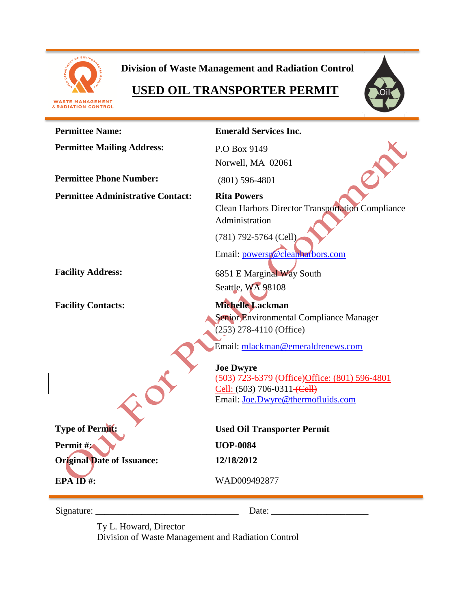

**Division of Waste Management and Radiation Control**

# **USED OIL TRANSPORTER PERMIT**





| <b>Permittee Name:</b>                   | <b>Emerald Services Inc.</b>                            |  |
|------------------------------------------|---------------------------------------------------------|--|
| <b>Permittee Mailing Address:</b>        | P.O Box 9149                                            |  |
|                                          | Norwell, MA 02061                                       |  |
| <b>Permittee Phone Number:</b>           | $(801)$ 596-4801                                        |  |
| <b>Permittee Administrative Contact:</b> | <b>Rita Powers</b>                                      |  |
|                                          | <b>Clean Harbors Director Transportation Compliance</b> |  |
|                                          | Administration                                          |  |
|                                          | $(781)$ 792-5764 (Cell)                                 |  |
|                                          | Email: powersp@cleanharbors.com                         |  |
|                                          |                                                         |  |
| <b>Facility Address:</b>                 | 6851 E Marginal Way South                               |  |
|                                          | Seattle, WA 98108                                       |  |
| <b>Facility Contacts:</b>                | Michelle Lackman                                        |  |
|                                          | Senior Environmental Compliance Manager                 |  |
|                                          | $(253)$ 278-4110 (Office)                               |  |
|                                          | Email: mlackman@emeraldrenews.com                       |  |
|                                          | <b>Joe Dwyre</b>                                        |  |
|                                          | (503) 723-6379 (Office) Office: (801) 596-4801          |  |
|                                          | Cell: (503) 706-0311 (Cell)                             |  |
|                                          | Email: Joe.Dwyre@thermofluids.com                       |  |
| <b>Type of Permit:</b>                   | <b>Used Oil Transporter Permit</b>                      |  |
| Permit #2                                | <b>UOP-0084</b>                                         |  |
| <b>Original Date of Issuance:</b>        | 12/18/2012                                              |  |
| EPAID#:                                  | WAD009492877                                            |  |
| Signature:                               | Date:                                                   |  |

Ty L. Howard, Director

Division of Waste Management and Radiation Control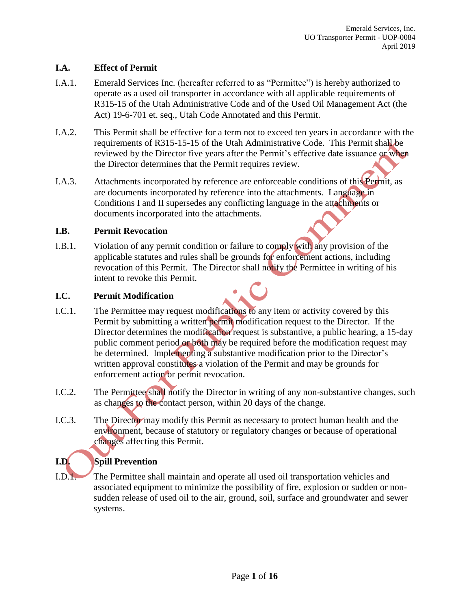### **I.A. Effect of Permit**

- I.A.1. Emerald Services Inc. (hereafter referred to as "Permittee") is hereby authorized to operate as a used oil transporter in accordance with all applicable requirements of R315-15 of the Utah Administrative Code and of the Used Oil Management Act (the Act) 19-6-701 et. seq., Utah Code Annotated and this Permit.
- I.A.2. This Permit shall be effective for a term not to exceed ten years in accordance with the requirements of R315-15-15 of the Utah Administrative Code. This Permit shall be reviewed by the Director five years after the Permit's effective date issuance or when the Director determines that the Permit requires review.
- I.A.3. Attachments incorporated by reference are enforceable conditions of this Permit, as are documents incorporated by reference into the attachments. Language in Conditions I and II supersedes any conflicting language in the attachments or documents incorporated into the attachments.

#### **I.B. Permit Revocation**

I.B.1. Violation of any permit condition or failure to comply with any provision of the applicable statutes and rules shall be grounds for enforcement actions, including revocation of this Permit. The Director shall notify the Permittee in writing of his intent to revoke this Permit.

# **I.C. Permit Modification**

- I.C.1. The Permittee may request modifications to any item or activity covered by this Permit by submitting a written permit modification request to the Director. If the Director determines the modification request is substantive, a public hearing, a 15-day public comment period or both may be required before the modification request may be determined. Implementing a substantive modification prior to the Director's written approval constitutes a violation of the Permit and may be grounds for enforcement action or permit revocation.
- I.C.2. The Permittee shall notify the Director in writing of any non-substantive changes, such as changes to the contact person, within 20 days of the change.
- I.C.3. The Director may modify this Permit as necessary to protect human health and the environment, because of statutory or regulatory changes or because of operational changes affecting this Permit.

# **I.D. Spill Prevention**

I.D.1. The Permittee shall maintain and operate all used oil transportation vehicles and associated equipment to minimize the possibility of fire, explosion or sudden or nonsudden release of used oil to the air, ground, soil, surface and groundwater and sewer systems.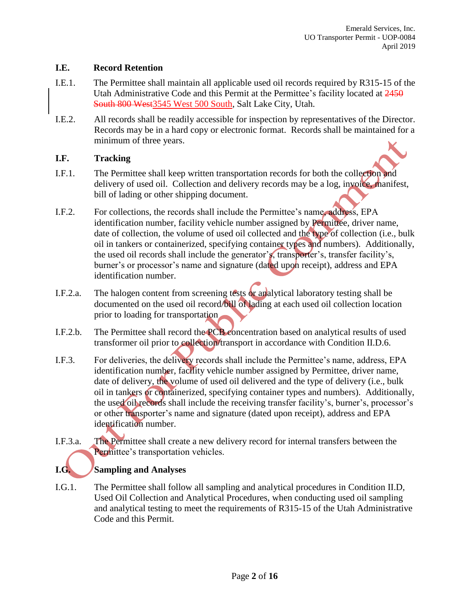#### **I.E. Record Retention**

- I.E.1. The Permittee shall maintain all applicable used oil records required by R315-15 of the Utah Administrative Code and this Permit at the Permittee's facility located at 2450 South 800 West3545 West 500 South, Salt Lake City, Utah.
- I.E.2. All records shall be readily accessible for inspection by representatives of the Director. Records may be in a hard copy or electronic format. Records shall be maintained for a minimum of three years.

#### **I.F. Tracking**

- I.F.1. The Permittee shall keep written transportation records for both the collection and delivery of used oil. Collection and delivery records may be a log, invoice, manifest, bill of lading or other shipping document.
- I.F.2. For collections, the records shall include the Permittee's name, address, EPA identification number, facility vehicle number assigned by Permittee, driver name, date of collection, the volume of used oil collected and the type of collection (i.e., bulk oil in tankers or containerized, specifying container types and numbers). Additionally, the used oil records shall include the generator's, transporter's, transfer facility's, burner's or processor's name and signature (dated upon receipt), address and EPA identification number.
- I.F.2.a. The halogen content from screening tests or analytical laboratory testing shall be documented on the used oil record/bill of lading at each used oil collection location prior to loading for transportation
- I.F.2.b. The Permittee shall record the PCB concentration based on analytical results of used transformer oil prior to collection/transport in accordance with Condition II.D.6.
- I.F.3. For deliveries, the delivery records shall include the Permittee's name, address, EPA identification number, facility vehicle number assigned by Permittee, driver name, date of delivery, the volume of used oil delivered and the type of delivery (i.e., bulk oil in tankers or containerized, specifying container types and numbers). Additionally, the used oil records shall include the receiving transfer facility's, burner's, processor's or other transporter's name and signature (dated upon receipt), address and EPA identification number.
- I.F.3.a. The Permittee shall create a new delivery record for internal transfers between the Permittee's transportation vehicles.

# **I.G. Sampling and Analyses**

I.G.1. The Permittee shall follow all sampling and analytical procedures in Condition II.D, Used Oil Collection and Analytical Procedures, when conducting used oil sampling and analytical testing to meet the requirements of R315-15 of the Utah Administrative Code and this Permit.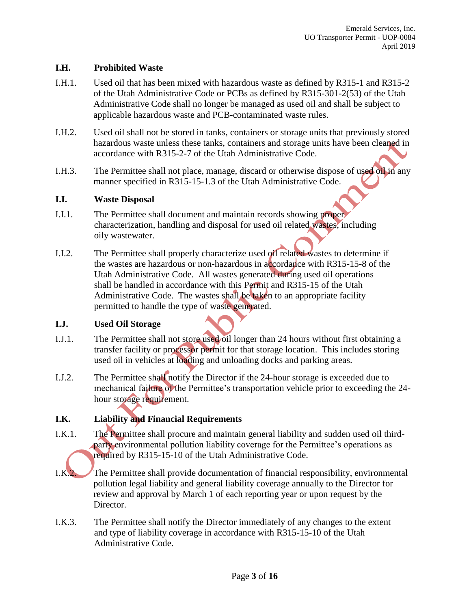#### **I.H. Prohibited Waste**

- I.H.1. Used oil that has been mixed with hazardous waste as defined by R315-1 and R315-2 of the Utah Administrative Code or PCBs as defined by R315-301-2(53) of the Utah Administrative Code shall no longer be managed as used oil and shall be subject to applicable hazardous waste and PCB-contaminated waste rules.
- I.H.2. Used oil shall not be stored in tanks, containers or storage units that previously stored hazardous waste unless these tanks, containers and storage units have been cleaned in accordance with R315-2-7 of the Utah Administrative Code.
- I.H.3. The Permittee shall not place, manage, discard or otherwise dispose of used oil in any manner specified in R315-15-1.3 of the Utah Administrative Code.

#### **I.I. Waste Disposal**

- I.I.1. The Permittee shall document and maintain records showing proper characterization, handling and disposal for used oil related wastes, including oily wastewater.
- I.I.2. The Permittee shall properly characterize used oil related wastes to determine if the wastes are hazardous or non-hazardous in accordance with R315-15-8 of the Utah Administrative Code. All wastes generated during used oil operations shall be handled in accordance with this Permit and R315-15 of the Utah Administrative Code. The wastes shall be taken to an appropriate facility permitted to handle the type of waste generated.

#### **I.J. Used Oil Storage**

- I.J.1. The Permittee shall not store used oil longer than 24 hours without first obtaining a transfer facility or processor permit for that storage location. This includes storing used oil in vehicles at loading and unloading docks and parking areas.
- I.J.2. The Permittee shall notify the Director if the 24-hour storage is exceeded due to mechanical failure of the Permittee's transportation vehicle prior to exceeding the 24 hour storage requirement.

# **I.K. Liability and Financial Requirements**

- I.K.1. The Permittee shall procure and maintain general liability and sudden used oil thirdparty environmental pollution liability coverage for the Permittee's operations as required by R315-15-10 of the Utah Administrative Code.
- I.K.2. The Permittee shall provide documentation of financial responsibility, environmental pollution legal liability and general liability coverage annually to the Director for review and approval by March 1 of each reporting year or upon request by the Director.
- I.K.3. The Permittee shall notify the Director immediately of any changes to the extent and type of liability coverage in accordance with R315-15-10 of the Utah Administrative Code.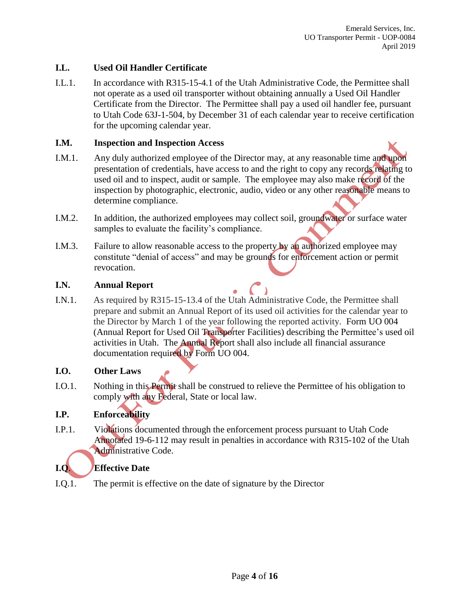# **I.L. Used Oil Handler Certificate**

I.L.1. In accordance with R315-15-4.1 of the Utah Administrative Code, the Permittee shall not operate as a used oil transporter without obtaining annually a Used Oil Handler Certificate from the Director. The Permittee shall pay a used oil handler fee, pursuant to Utah Code 63J-1-504, by December 31 of each calendar year to receive certification for the upcoming calendar year.

#### **I.M. Inspection and Inspection Access**

- I.M.1. Any duly authorized employee of the Director may, at any reasonable time and upon presentation of credentials, have access to and the right to copy any records relating to used oil and to inspect, audit or sample. The employee may also make record of the inspection by photographic, electronic, audio, video or any other reasonable means to determine compliance.
- I.M.2. In addition, the authorized employees may collect soil, groundwater or surface water samples to evaluate the facility's compliance.
- I.M.3. Failure to allow reasonable access to the property by an authorized employee may constitute "denial of access" and may be grounds for enforcement action or permit revocation.

#### **I.N. Annual Report**

I.N.1. As required by R315-15-13.4 of the Utah Administrative Code, the Permittee shall prepare and submit an Annual Report of its used oil activities for the calendar year to the Director by March 1 of the year following the reported activity. Form UO 004 (Annual Report for Used Oil Transporter Facilities) describing the Permittee's used oil activities in Utah. The Annual Report shall also include all financial assurance documentation required by Form UO 004.

#### **I.O. Other Laws**

I.O.1. Nothing in this Permit shall be construed to relieve the Permittee of his obligation to comply with any Federal, State or local law.

# **I.P. Enforceability**

I.P.1. Violations documented through the enforcement process pursuant to Utah Code Annotated 19-6-112 may result in penalties in accordance with R315-102 of the Utah Administrative Code.

# **I.Q**. **Effective Date**

I.Q.1. The permit is effective on the date of signature by the Director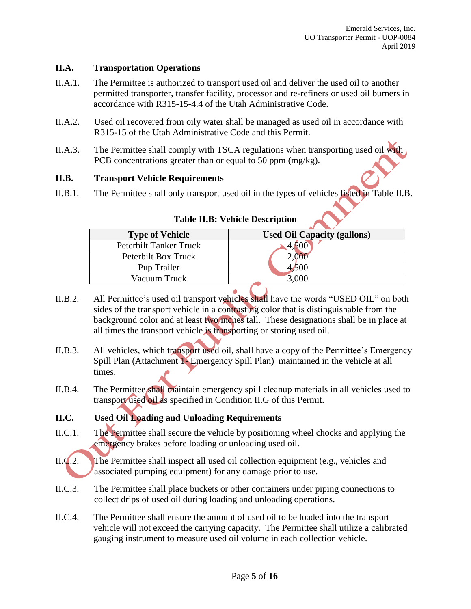#### **II.A. Transportation Operations**

- II.A.1. The Permittee is authorized to transport used oil and deliver the used oil to another permitted transporter, transfer facility, processor and re-refiners or used oil burners in accordance with R315-15-4.4 of the Utah Administrative Code.
- II.A.2. Used oil recovered from oily water shall be managed as used oil in accordance with R315-15 of the Utah Administrative Code and this Permit.
- II.A.3. The Permittee shall comply with TSCA regulations when transporting used oil with PCB concentrations greater than or equal to 50 ppm (mg/kg).

# **II.B. Transport Vehicle Requirements**

II.B.1. The Permittee shall only transport used oil in the types of vehicles listed in Table II.B.

| <b>Type of Vehicle</b> | <b>Used Oil Capacity (gallons)</b> |
|------------------------|------------------------------------|
| Peterbilt Tanker Truck | 4,DUU                              |
| Peterbilt Box Truck    |                                    |
| Pup Trailer            | 1,500                              |
| Vacuum Truck           | 3.000                              |
|                        |                                    |

#### **Table II.B: Vehicle Description**

- II.B.2. All Permittee's used oil transport vehicles shall have the words "USED OIL" on both sides of the transport vehicle in a contrasting color that is distinguishable from the background color and at least two inches tall. These designations shall be in place at all times the transport vehicle is transporting or storing used oil.
- II.B.3. All vehicles, which transport used oil, shall have a copy of the Permittee's Emergency Spill Plan (Attachment 1- Emergency Spill Plan) maintained in the vehicle at all times.
- II.B.4. The Permittee shall maintain emergency spill cleanup materials in all vehicles used to transport used oil as specified in Condition II.G of this Permit.

# **II.C. Used Oil Loading and Unloading Requirements**

- II.C.1. The Permittee shall secure the vehicle by positioning wheel chocks and applying the emergency brakes before loading or unloading used oil.
- II.C.2. The Permittee shall inspect all used oil collection equipment (e.g., vehicles and associated pumping equipment) for any damage prior to use.
- II.C.3. The Permittee shall place buckets or other containers under piping connections to collect drips of used oil during loading and unloading operations.
- II.C.4. The Permittee shall ensure the amount of used oil to be loaded into the transport vehicle will not exceed the carrying capacity. The Permittee shall utilize a calibrated gauging instrument to measure used oil volume in each collection vehicle.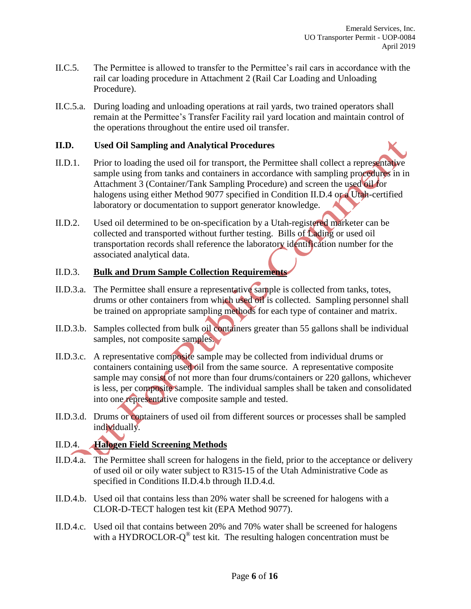- II.C.5. The Permittee is allowed to transfer to the Permittee's rail cars in accordance with the rail car loading procedure in Attachment 2 (Rail Car Loading and Unloading Procedure).
- II.C.5.a. During loading and unloading operations at rail yards, two trained operators shall remain at the Permittee's Transfer Facility rail yard location and maintain control of the operations throughout the entire used oil transfer.

#### **II.D. Used Oil Sampling and Analytical Procedures**

- II.D.1. Prior to loading the used oil for transport, the Permittee shall collect a representative sample using from tanks and containers in accordance with sampling procedures in in Attachment 3 (Container/Tank Sampling Procedure) and screen the used oil for halogens using either Method 9077 specified in Condition II.D.4 or a Utah-certified laboratory or documentation to support generator knowledge.
- II.D.2. Used oil determined to be on-specification by a Utah-registered marketer can be collected and transported without further testing. Bills of Lading or used oil transportation records shall reference the laboratory identification number for the associated analytical data.

#### II.D.3. **Bulk and Drum Sample Collection Requirements**

- II.D.3.a. The Permittee shall ensure a representative sample is collected from tanks, totes, drums or other containers from which used oil is collected. Sampling personnel shall be trained on appropriate sampling methods for each type of container and matrix.
- II.D.3.b. Samples collected from bulk oil containers greater than 55 gallons shall be individual samples, not composite samples.
- II.D.3.c. A representative composite sample may be collected from individual drums or containers containing used oil from the same source. A representative composite sample may consist of not more than four drums/containers or 220 gallons, whichever is less, per composite sample. The individual samples shall be taken and consolidated into one representative composite sample and tested.
- II.D.3.d. Drums or containers of used oil from different sources or processes shall be sampled individually.

# II.D.4. **Halogen Field Screening Methods**

- II.D.4.a. The Permittee shall screen for halogens in the field, prior to the acceptance or delivery of used oil or oily water subject to R315-15 of the Utah Administrative Code as specified in Conditions II.D.4.b through II.D.4.d.
- II.D.4.b. Used oil that contains less than 20% water shall be screened for halogens with a CLOR-D-TECT halogen test kit (EPA Method 9077).
- II.D.4.c. Used oil that contains between 20% and 70% water shall be screened for halogens with a HYDROCLOR- $Q^{\circledast}$  test kit. The resulting halogen concentration must be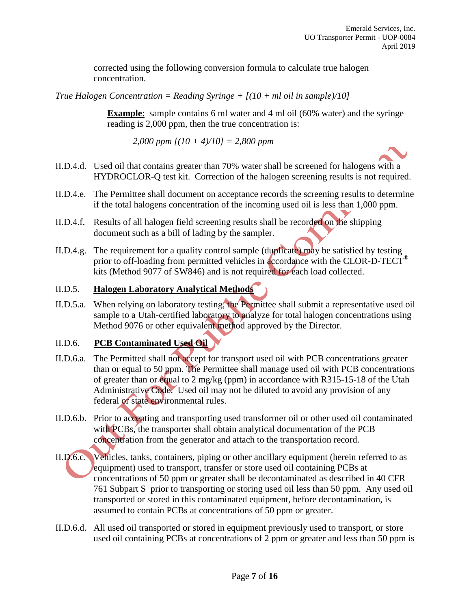corrected using the following conversion formula to calculate true halogen concentration.

*True Halogen Concentration = Reading Syringe + [(10 + ml oil in sample)/10]*

**Example**: sample contains 6 ml water and 4 ml oil (60% water) and the syringe reading is 2,000 ppm, then the true concentration is:

*2,000 ppm [(10 + 4)/10] = 2,800 ppm*

- II.D.4.d. Used oil that contains greater than 70% water shall be screened for halogens with a HYDROCLOR-Q test kit. Correction of the halogen screening results is not required.
- II.D.4.e. The Permittee shall document on acceptance records the screening results to determine if the total halogens concentration of the incoming used oil is less than 1,000 ppm.
- II.D.4.f. Results of all halogen field screening results shall be recorded on the shipping document such as a bill of lading by the sampler.
- II.D.4.g. The requirement for a quality control sample (duplicate) may be satisfied by testing prior to off-loading from permitted vehicles in accordance with the CLOR-D-TECT<sup>®</sup> kits (Method 9077 of SW846) and is not required for each load collected.

# II.D.5. **Halogen Laboratory Analytical Methods**

II.D.5.a. When relying on laboratory testing, the Permittee shall submit a representative used oil sample to a Utah-certified laboratory to analyze for total halogen concentrations using Method 9076 or other equivalent method approved by the Director.

#### II.D.6. **PCB Contaminated Used Oil**

- II.D.6.a. The Permitted shall not accept for transport used oil with PCB concentrations greater than or equal to 50 ppm. The Permittee shall manage used oil with PCB concentrations of greater than or equal to 2 mg/kg (ppm) in accordance with R315-15-18 of the Utah Administrative Code. Used oil may not be diluted to avoid any provision of any federal or state environmental rules.
- II.D.6.b. Prior to accepting and transporting used transformer oil or other used oil contaminated with PCBs, the transporter shall obtain analytical documentation of the PCB concentration from the generator and attach to the transportation record.
- II.D.6.c. Vehicles, tanks, containers, piping or other ancillary equipment (herein referred to as equipment) used to transport, transfer or store used oil containing PCBs at concentrations of 50 ppm or greater shall be decontaminated as described in 40 CFR 761 Subpart S prior to transporting or storing used oil less than 50 ppm. Any used oil transported or stored in this contaminated equipment, before decontamination, is assumed to contain PCBs at concentrations of 50 ppm or greater.
- II.D.6.d. All used oil transported or stored in equipment previously used to transport, or store used oil containing PCBs at concentrations of 2 ppm or greater and less than 50 ppm is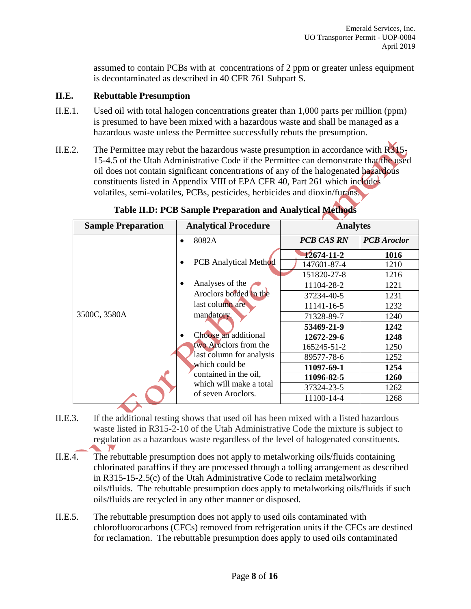assumed to contain PCBs with at concentrations of 2 ppm or greater unless equipment is decontaminated as described in 40 CFR 761 Subpart S.

#### **II.E. Rebuttable Presumption**

- II.E.1. Used oil with total halogen concentrations greater than 1,000 parts per million (ppm) is presumed to have been mixed with a hazardous waste and shall be managed as a hazardous waste unless the Permittee successfully rebuts the presumption.
- II.E.2. The Permittee may rebut the hazardous waste presumption in accordance with  $R315<sub>1</sub>$ 15-4.5 of the Utah Administrative Code if the Permittee can demonstrate that the used oil does not contain significant concentrations of any of the halogenated hazardous constituents listed in Appendix VIII of EPA CFR 40, Part 261 which includes volatiles, semi-volatiles, PCBs, pesticides, herbicides and dioxin/furans.

| <b>Sample Preparation</b>                                                                                                                                                                                                                        | <b>Analytical Procedure</b>  | <b>Analytes</b>   |                    |
|--------------------------------------------------------------------------------------------------------------------------------------------------------------------------------------------------------------------------------------------------|------------------------------|-------------------|--------------------|
|                                                                                                                                                                                                                                                  | 8082A                        | <b>PCB CAS RN</b> | <b>PCB</b> Aroclor |
|                                                                                                                                                                                                                                                  |                              | $12674 - 11 - 2$  | 1016               |
|                                                                                                                                                                                                                                                  | <b>PCB</b> Analytical Method | 147601-87-4       | 1210               |
|                                                                                                                                                                                                                                                  |                              | 151820-27-8       | 1216               |
|                                                                                                                                                                                                                                                  | Analyses of the              | 11104-28-2        | 1221               |
| Aroclors bolded in the<br>last column are<br>3500C, 3580A<br>mandatory.<br>Choose an additional<br>two Aroclors from the<br>last column for analysis<br>which could be<br>contained in the oil,<br>which will make a total<br>of seven Aroclors. |                              | 37234-40-5        | 1231               |
|                                                                                                                                                                                                                                                  |                              | 11141-16-5        | 1232               |
|                                                                                                                                                                                                                                                  |                              | 71328-89-7        | 1240               |
|                                                                                                                                                                                                                                                  |                              | 53469-21-9        | 1242               |
|                                                                                                                                                                                                                                                  |                              | 12672-29-6        | 1248               |
|                                                                                                                                                                                                                                                  |                              | 165245-51-2       | 1250               |
|                                                                                                                                                                                                                                                  |                              | 89577-78-6        | 1252               |
|                                                                                                                                                                                                                                                  |                              | 11097-69-1        | 1254               |
|                                                                                                                                                                                                                                                  |                              | 11096-82-5        | <b>1260</b>        |
|                                                                                                                                                                                                                                                  |                              | 37324-23-5        | 1262               |
|                                                                                                                                                                                                                                                  | 11100-14-4                   | 1268              |                    |

**Table II.D: PCB Sample Preparation and Analytical Methods**

- II.E.3. If the additional testing shows that used oil has been mixed with a listed hazardous waste listed in R315-2-10 of the Utah Administrative Code the mixture is subject to regulation as a hazardous waste regardless of the level of halogenated constituents.
- II.E.4. The rebuttable presumption does not apply to metalworking oils/fluids containing chlorinated paraffins if they are processed through a tolling arrangement as described in R315-15-2.5(c) of the Utah Administrative Code to reclaim metalworking oils/fluids. The rebuttable presumption does apply to metalworking oils/fluids if such oils/fluids are recycled in any other manner or disposed.
- II.E.5. The rebuttable presumption does not apply to used oils contaminated with chlorofluorocarbons (CFCs) removed from refrigeration units if the CFCs are destined for reclamation. The rebuttable presumption does apply to used oils contaminated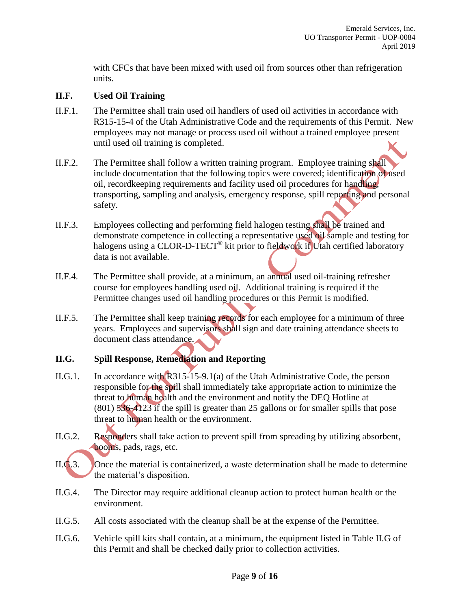with CFCs that have been mixed with used oil from sources other than refrigeration units.

#### **II.F. Used Oil Training**

- II.F.1. The Permittee shall train used oil handlers of used oil activities in accordance with R315-15-4 of the Utah Administrative Code and the requirements of this Permit. New employees may not manage or process used oil without a trained employee present until used oil training is completed.
- II.F.2. The Permittee shall follow a written training program. Employee training shall include documentation that the following topics were covered; identification of used oil, recordkeeping requirements and facility used oil procedures for handling, transporting, sampling and analysis, emergency response, spill reporting and personal safety.
- II.F.3. Employees collecting and performing field halogen testing shall be trained and demonstrate competence in collecting a representative used oil sample and testing for halogens using a CLOR-D-TECT<sup>®</sup> kit prior to fieldwork if Utah certified laboratory data is not available.
- II.F.4. The Permittee shall provide, at a minimum, an annual used oil-training refresher course for employees handling used oil. Additional training is required if the Permittee changes used oil handling procedures or this Permit is modified.
- II.F.5. The Permittee shall keep training records for each employee for a minimum of three years. Employees and supervisors shall sign and date training attendance sheets to document class attendance.

#### **II.G. Spill Response, Remediation and Reporting**

- II.G.1. In accordance with R315-15-9.1(a) of the Utah Administrative Code, the person responsible for the spill shall immediately take appropriate action to minimize the threat to human health and the environment and notify the DEQ Hotline at (801) 536-4123 if the spill is greater than 25 gallons or for smaller spills that pose threat to human health or the environment.
- II.G.2. Responders shall take action to prevent spill from spreading by utilizing absorbent, booms, pads, rags, etc.
- II.G.3. Once the material is containerized, a waste determination shall be made to determine the material's disposition.
- II.G.4. The Director may require additional cleanup action to protect human health or the environment.
- II.G.5. All costs associated with the cleanup shall be at the expense of the Permittee.
- II.G.6. Vehicle spill kits shall contain, at a minimum, the equipment listed in Table II.G of this Permit and shall be checked daily prior to collection activities.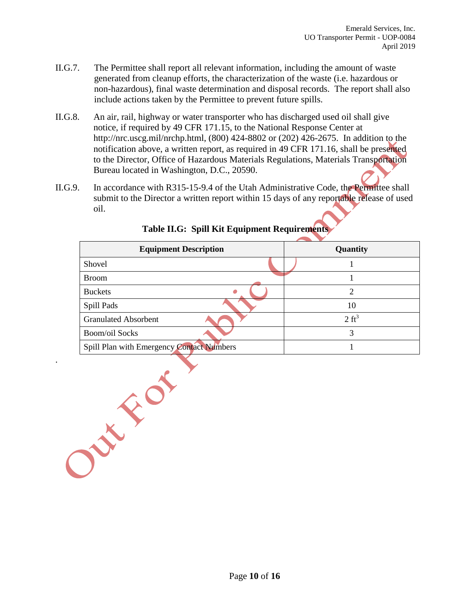- II.G.7. The Permittee shall report all relevant information, including the amount of waste generated from cleanup efforts, the characterization of the waste (i.e. hazardous or non-hazardous), final waste determination and disposal records. The report shall also include actions taken by the Permittee to prevent future spills.
- II.G.8. An air, rail, highway or water transporter who has discharged used oil shall give notice, if required by 49 CFR 171.15, to the National Response Center at http://nrc.uscg.mil/nrchp.html, (800) 424-8802 or (202) 426-2675. In addition to the notification above, a written report, as required in 49 CFR 171.16, shall be presented to the Director, Office of Hazardous Materials Regulations, Materials Transportation Bureau located in Washington, D.C., 20590.
- II.G.9. In accordance with R315-15-9.4 of the Utah Administrative Code, the Permittee shall submit to the Director a written report within 15 days of any reportable release of used oil.

| <b>Equipment Description</b>              | Quantity         |
|-------------------------------------------|------------------|
| Shovel                                    |                  |
| <b>Broom</b>                              | 1                |
| <b>Buckets</b>                            | $\overline{2}$   |
| Spill Pads                                | 10               |
| <b>Granulated Absorbent</b>               | $2 \text{ ft}^3$ |
| <b>Boom/oil Socks</b>                     | 3                |
| Spill Plan with Emergency Contact Numbers | $\mathbf{1}$     |
|                                           |                  |

# **Table II.G: Spill Kit Equipment Requirements**

.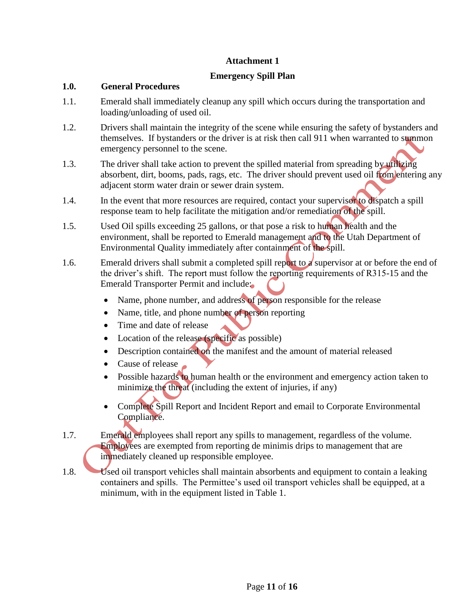#### **Attachment 1**

#### **Emergency Spill Plan**

#### **1.0. General Procedures**

- 1.1. Emerald shall immediately cleanup any spill which occurs during the transportation and loading/unloading of used oil.
- 1.2. Drivers shall maintain the integrity of the scene while ensuring the safety of bystanders and themselves. If bystanders or the driver is at risk then call 911 when warranted to summon emergency personnel to the scene.
- 1.3. The driver shall take action to prevent the spilled material from spreading by utilizing absorbent, dirt, booms, pads, rags, etc. The driver should prevent used oil from entering any adjacent storm water drain or sewer drain system.
- 1.4. In the event that more resources are required, contact your supervisor to dispatch a spill response team to help facilitate the mitigation and/or remediation of the spill.
- 1.5. Used Oil spills exceeding 25 gallons, or that pose a risk to human health and the environment, shall be reported to Emerald management and to the Utah Department of Environmental Quality immediately after containment of the spill.
- 1.6. Emerald drivers shall submit a completed spill report to a supervisor at or before the end of the driver's shift. The report must follow the reporting requirements of R315-15 and the Emerald Transporter Permit and include:
	- Name, phone number, and address of person responsible for the release
	- Name, title, and phone number of person reporting
	- Time and date of release
	- Location of the release (specific as possible)
	- Description contained on the manifest and the amount of material released
	- Cause of release
	- Possible hazards to human health or the environment and emergency action taken to minimize the threat (including the extent of injuries, if any)
	- Complete Spill Report and Incident Report and email to Corporate Environmental Compliance.
- 1.7. Emerald employees shall report any spills to management, regardless of the volume. Employees are exempted from reporting de minimis drips to management that are immediately cleaned up responsible employee.
- 1.8. Used oil transport vehicles shall maintain absorbents and equipment to contain a leaking containers and spills. The Permittee's used oil transport vehicles shall be equipped, at a minimum, with in the equipment listed in Table 1.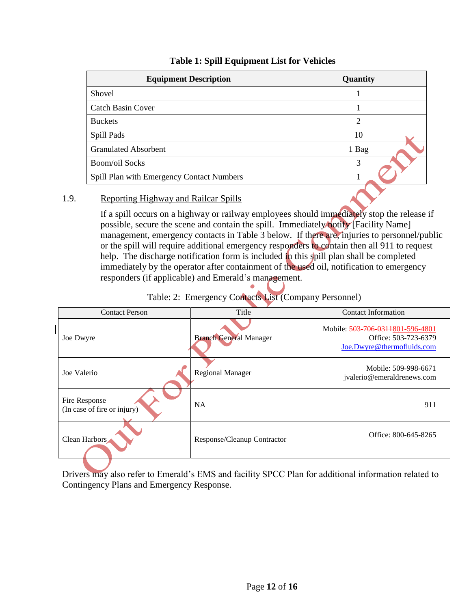| <b>Equipment Description</b>              | Quantity       |
|-------------------------------------------|----------------|
| Shovel                                    |                |
| <b>Catch Basin Cover</b>                  |                |
| <b>Buckets</b>                            | $\mathfrak{D}$ |
| Spill Pads                                | 10             |
| <b>Granulated Absorbent</b>               | 1 Bag          |
| <b>Boom/oil Socks</b>                     | 3              |
| Spill Plan with Emergency Contact Numbers |                |

# **Table 1: Spill Equipment List for Vehicles**

# 1.9. Reporting Highway and Railcar Spills

If a spill occurs on a highway or railway employees should immediately stop the release if possible, secure the scene and contain the spill. Immediately notify [Facility Name] management, emergency contacts in Table 3 below. If there are, injuries to personnel/public or the spill will require additional emergency responders to contain then all 911 to request help. The discharge notification form is included in this spill plan shall be completed immediately by the operator after containment of the used oil, notification to emergency responders (if applicable) and Emerald's management.  $\bullet$  ,  $\bullet$ 

| <b>Contact Person</b>                        | Title                         | <b>Contact Information</b>                                                             |
|----------------------------------------------|-------------------------------|----------------------------------------------------------------------------------------|
| Joe Dwyre                                    | <b>Branch General Manager</b> | Mobile: 503-706-0311801-596-4801<br>Office: 503-723-6379<br>Joe.Dwyre@thermofluids.com |
| Joe Valerio                                  | <b>Regional Manager</b>       | Mobile: 509-998-6671<br>jvalerio@emeraldrenews.com                                     |
| Fire Response<br>(In case of fire or injury) | <b>NA</b>                     | 911                                                                                    |
| Clean Harbors                                | Response/Cleanup Contractor   | Office: 800-645-8265                                                                   |

| Table: 2: Emergency Contacts List (Company Personnel) |  |
|-------------------------------------------------------|--|
|-------------------------------------------------------|--|

Drivers may also refer to Emerald's EMS and facility SPCC Plan for additional information related to Contingency Plans and Emergency Response.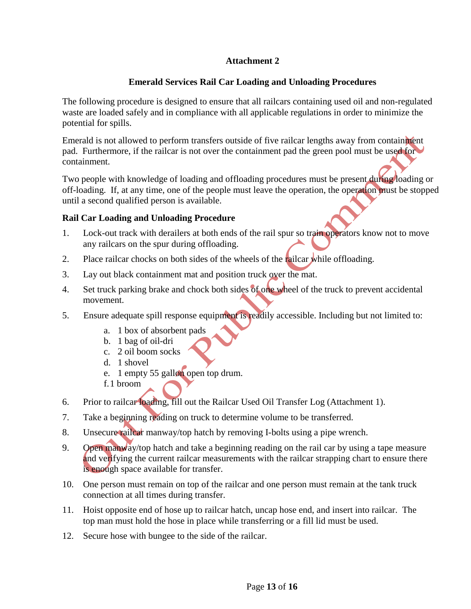# **Attachment 2**

# **Emerald Services Rail Car Loading and Unloading Procedures**

The following procedure is designed to ensure that all railcars containing used oil and non-regulated waste are loaded safely and in compliance with all applicable regulations in order to minimize the potential for spills.

Emerald is not allowed to perform transfers outside of five railcar lengths away from containment pad. Furthermore, if the railcar is not over the containment pad the green pool must be used for containment.

Two people with knowledge of loading and offloading procedures must be present during loading or off-loading. If, at any time, one of the people must leave the operation, the operation must be stopped until a second qualified person is available.

#### **Rail Car Loading and Unloading Procedure**

- 1. Lock-out track with derailers at both ends of the rail spur so train operators know not to move any railcars on the spur during offloading.
- 2. Place railcar chocks on both sides of the wheels of the railcar while offloading.
- 3. Lay out black containment mat and position truck over the mat.
- 4. Set truck parking brake and chock both sides of one wheel of the truck to prevent accidental movement.
- 5. Ensure adequate spill response equipment is readily accessible. Including but not limited to:
	- a. 1 box of absorbent pads
	- b. 1 bag of oil-dri
	- c. 2 oil boom socks
	- d. 1 shovel
	- e. 1 empty 55 gallon open top drum.
	- f.1 broom
- 6. Prior to railcar loading, fill out the Railcar Used Oil Transfer Log (Attachment 1).
- 7. Take a beginning reading on truck to determine volume to be transferred.
- 8. Unsecure railcar manway/top hatch by removing I-bolts using a pipe wrench.
- 9. Open manway/top hatch and take a beginning reading on the rail car by using a tape measure and verifying the current railcar measurements with the railcar strapping chart to ensure there is enough space available for transfer.
- 10. One person must remain on top of the railcar and one person must remain at the tank truck connection at all times during transfer.
- 11. Hoist opposite end of hose up to railcar hatch, uncap hose end, and insert into railcar. The top man must hold the hose in place while transferring or a fill lid must be used.
- 12. Secure hose with bungee to the side of the railcar.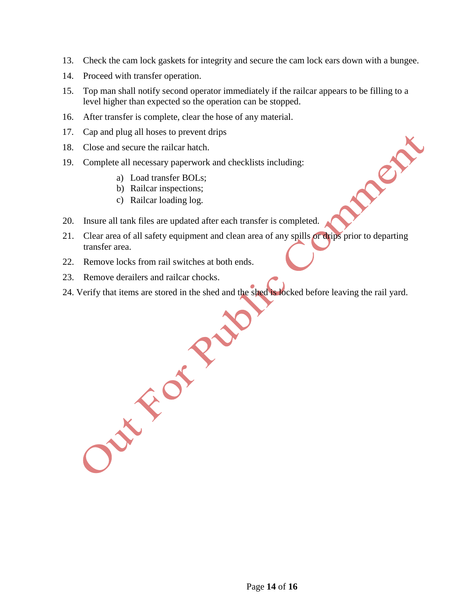- 13. Check the cam lock gaskets for integrity and secure the cam lock ears down with a bungee.
- 14. Proceed with transfer operation.
- 15. Top man shall notify second operator immediately if the railcar appears to be filling to a level higher than expected so the operation can be stopped.
- 16. After transfer is complete, clear the hose of any material.
- 17. Cap and plug all hoses to prevent drips
- 18. Close and secure the railcar hatch.
- 19. Complete all necessary paperwork and checklists including:
	- a) Load transfer BOLs;
	- b) Railcar inspections;
	- c) Railcar loading log.
- 20. Insure all tank files are updated after each transfer is completed.
- 21. Clear area of all safety equipment and clean area of any spills or drips prior to departing transfer area.

DEN

- 22. Remove locks from rail switches at both ends.
- 23. Remove derailers and railcar chocks.
- 24. Verify that items are stored in the shed and the shed before leaving the rail yard.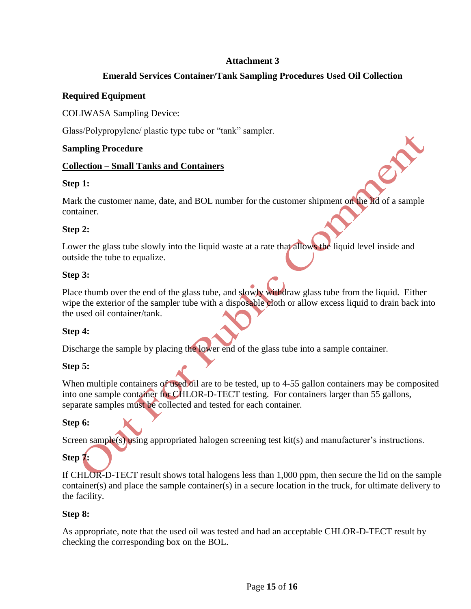# **Attachment 3**

# **Emerald Services Container/Tank Sampling Procedures Used Oil Collection**

#### **Required Equipment**

COLIWASA Sampling Device:

Glass/Polypropylene/ plastic type tube or "tank" sampler.

#### **Sampling Procedure**

#### **Collection – Small Tanks and Containers**

#### **Step 1:**

Mark the customer name, date, and BOL number for the customer shipment on the lid of a sample container.

#### **Step 2:**

Lower the glass tube slowly into the liquid waste at a rate that allows the liquid level inside and outside the tube to equalize.

#### **Step 3:**

Place thumb over the end of the glass tube, and slowly withdraw glass tube from the liquid. Either wipe the exterior of the sampler tube with a disposable cloth or allow excess liquid to drain back into the used oil container/tank.

#### **Step 4:**

Discharge the sample by placing the lower end of the glass tube into a sample container.

#### **Step 5:**

When multiple containers of used oil are to be tested, up to 4-55 gallon containers may be composited into one sample container for CHLOR-D-TECT testing. For containers larger than 55 gallons, separate samples must be collected and tested for each container.

#### **Step 6:**

Screen sample(s) using appropriated halogen screening test kit(s) and manufacturer's instructions.

# **Step 7:**

If CHLOR-D-TECT result shows total halogens less than 1,000 ppm, then secure the lid on the sample container(s) and place the sample container(s) in a secure location in the truck, for ultimate delivery to the facility.

#### **Step 8:**

As appropriate, note that the used oil was tested and had an acceptable CHLOR-D-TECT result by checking the corresponding box on the BOL.